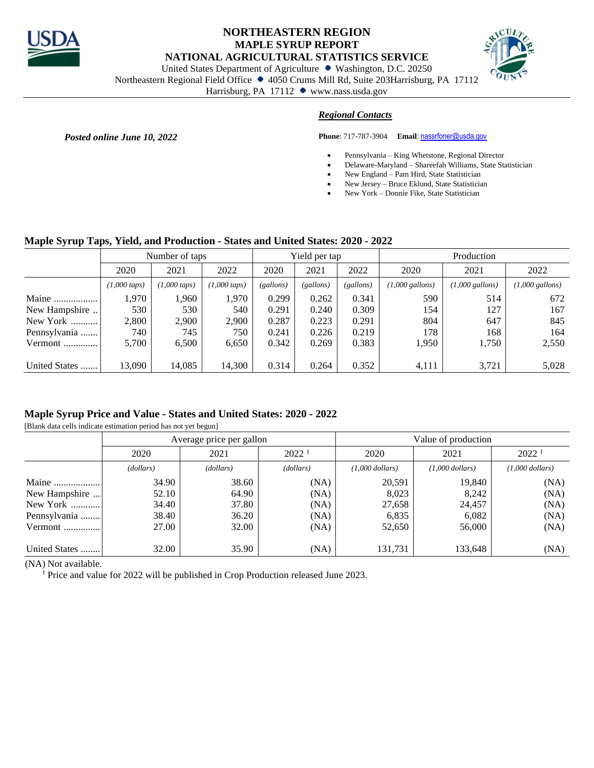

## **NORTHEASTERN REGION MAPLE SYRUP REPORT NATIONAL AGRICULTURAL STATISTICS SERVICE**



United States Department of Agriculture • Washington, D.C. 20250

Northeastern Regional Field Office • 4050 Crums Mill Rd, Suite 203Harrisburg, PA 17112

Harrisburg, PA 17112 www.nass.usda.gov

# *Regional Contacts*

**Posted online June 10, 2022 Phone**: 717-787-3904 **Email**[: nassrfoner@usda.gov](mailto:nassrfoner@usda.gov)

- Pennsylvania King Whetstone, Regional Director
- Delaware-Maryland Shareefah Williams, State Statistician
- New England Pam Hird, State Statistician
- New Jersey Bruce Eklund, State Statistician
- New York Donnie Fike, State Statistician

## **Maple Syrup Taps, Yield, and Production - States and United States: 2020 - 2022**

|               | Number of taps           |                          |                          |           | Yield per tap |           | Production                |                           |                           |  |
|---------------|--------------------------|--------------------------|--------------------------|-----------|---------------|-----------|---------------------------|---------------------------|---------------------------|--|
|               | 2020                     | 2021                     | 2022                     | 2020      | 2021          | 2022      | 2020                      | 2021                      | 2022                      |  |
|               | $(1,000 \, \text{taps})$ | $(1,000 \, \text{taps})$ | $(1,000 \, \text{taps})$ | (gallons) | (gallons)     | (gallons) | $(1,000 \text{ gallons})$ | $(1,000 \text{ gallons})$ | $(1,000 \text{ gallons})$ |  |
| Maine         | 1.970                    | 1,960                    | 1.970                    | 0.299     | 0.262         | 0.341     | 590                       | 514                       | 672                       |  |
| New Hampshire | 530.                     | 530                      | 540                      | 0.291     | 0.240         | 0.309     | 154                       | 127                       | 167                       |  |
| New York      | 2,800                    | 2,900                    | 2,900                    | 0.287     | 0.223         | 0.291     | 804                       | 647                       | 845                       |  |
| Pennsylvania  | 740                      | 745                      | 750                      | 0.241     | 0.226         | 0.219     | 178                       | 168                       | 164                       |  |
| Vermont       | 5,700                    | 6,500                    | 6,650                    | 0.342     | 0.269         | 0.383     | 1,950                     | 1,750                     | 2,550                     |  |
|               |                          |                          |                          |           |               |           |                           |                           |                           |  |
| United States | 13,090                   | 14,085                   | 14,300                   | 0.314     | 0.264         | 0.352     | 4,111                     | 3,721                     | 5,028                     |  |

## **Maple Syrup Price and Value - States and United States: 2020 - 2022**

[Blank data cells indicate estimation period has not yet begun]

|               |           | Average price per gallon |           | Value of production |                   |                   |  |  |
|---------------|-----------|--------------------------|-----------|---------------------|-------------------|-------------------|--|--|
|               | 2020      | 2021                     |           | 2020                | 2021              | 2022 <sup>1</sup> |  |  |
|               | (dollars) | (dollars)                | (dollars) | $(1,000$ dollars)   | $(1,000$ dollars) | $(1,000$ dollars) |  |  |
| Maine         | 34.90     | 38.60                    | (NA)      | 20,591              | 19,840            | (NA)              |  |  |
| New Hampshire | 52.10     | 64.90                    | (NA)      | 8,023               | 8,242             | (NA)              |  |  |
| New York      | 34.40     | 37.80                    | (NA)      | 27,658              | 24,457            | (NA)              |  |  |
| Pennsylvania  | 38.40     | 36.20                    | (NA)      | 6,835               | 6,082             | (NA)              |  |  |
| Vermont       | 27.00     | 32.00                    | (NA)      | 52,650              | 56,000            | (NA)              |  |  |
| United States | 32.00     | 35.90                    | (NA)      | 131.731             | 133,648           | (NA)              |  |  |

(NA) Not available.

<sup>1</sup> Price and value for 2022 will be published in Crop Production released June 2023.